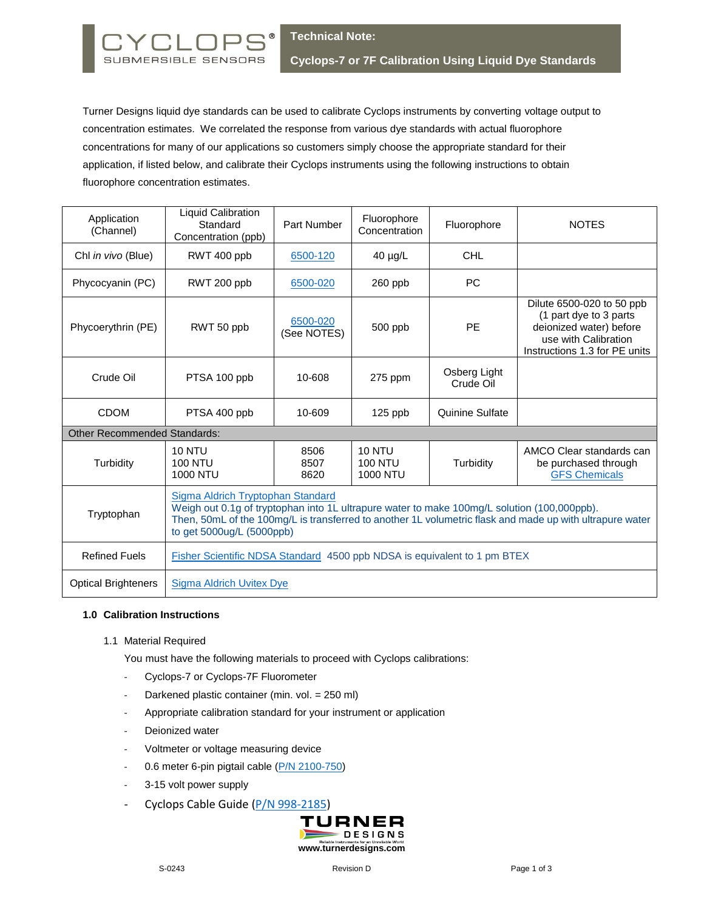

Turner Designs liquid dye standards can be used to calibrate Cyclops instruments by converting voltage output to concentration estimates. We correlated the response from various dye standards with actual fluorophore concentrations for many of our applications so customers simply choose the appropriate standard for their application, if listed below, and calibrate their Cyclops instruments using the following instructions to obtain fluorophore concentration estimates.

| Application<br>(Channel)            | <b>Liquid Calibration</b><br>Standard<br>Concentration (ppb)                                                                                                                                                                                                              | Part Number             | Fluorophore<br>Concentration                       | Fluorophore               | <b>NOTES</b>                                                                                                                            |
|-------------------------------------|---------------------------------------------------------------------------------------------------------------------------------------------------------------------------------------------------------------------------------------------------------------------------|-------------------------|----------------------------------------------------|---------------------------|-----------------------------------------------------------------------------------------------------------------------------------------|
| Chl in vivo (Blue)                  | RWT 400 ppb                                                                                                                                                                                                                                                               | 6500-120                | $40 \mu g/L$                                       | <b>CHL</b>                |                                                                                                                                         |
| Phycocyanin (PC)                    | RWT 200 ppb                                                                                                                                                                                                                                                               | 6500-020                | 260 ppb                                            | <b>PC</b>                 |                                                                                                                                         |
| Phycoerythrin (PE)                  | RWT 50 ppb                                                                                                                                                                                                                                                                | 6500-020<br>(See NOTES) | 500 ppb                                            | <b>PE</b>                 | Dilute 6500-020 to 50 ppb<br>(1 part dye to 3 parts<br>deionized water) before<br>use with Calibration<br>Instructions 1.3 for PE units |
| Crude Oil                           | PTSA 100 ppb                                                                                                                                                                                                                                                              | 10-608                  | $275$ ppm                                          | Osberg Light<br>Crude Oil |                                                                                                                                         |
| <b>CDOM</b>                         | PTSA 400 ppb                                                                                                                                                                                                                                                              | 10-609                  | 125 ppb                                            | Quinine Sulfate           |                                                                                                                                         |
| <b>Other Recommended Standards:</b> |                                                                                                                                                                                                                                                                           |                         |                                                    |                           |                                                                                                                                         |
| Turbidity                           | <b>10 NTU</b><br><b>100 NTU</b><br><b>1000 NTU</b>                                                                                                                                                                                                                        | 8506<br>8507<br>8620    | <b>10 NTU</b><br><b>100 NTU</b><br><b>1000 NTU</b> | Turbidity                 | AMCO Clear standards can<br>be purchased through<br><b>GFS Chemicals</b>                                                                |
| Tryptophan                          | Sigma Aldrich Tryptophan Standard<br>Weigh out 0.1g of tryptophan into 1L ultrapure water to make 100mg/L solution (100,000ppb).<br>Then, 50mL of the 100mg/L is transferred to another 1L volumetric flask and made up with ultrapure water<br>to get 5000ug/L (5000ppb) |                         |                                                    |                           |                                                                                                                                         |
| <b>Refined Fuels</b>                | Fisher Scientific NDSA Standard 4500 ppb NDSA is equivalent to 1 pm BTEX                                                                                                                                                                                                  |                         |                                                    |                           |                                                                                                                                         |
| <b>Optical Brighteners</b>          | Sigma Aldrich Uvitex Dye                                                                                                                                                                                                                                                  |                         |                                                    |                           |                                                                                                                                         |

## **1.0 Calibration Instructions**

1.1 Material Required

You must have the following materials to proceed with Cyclops calibrations:

- Cyclops-7 or Cyclops-7F Fluorometer
- Darkened plastic container (min. vol. = 250 ml)
- Appropriate calibration standard for your instrument or application
- Deionized water
- Voltmeter or voltage measuring device
- 0.6 meter 6-pin pigtail cable [\(P/N 2100-750\)](https://www.turnerdesigns.com/product-page/print-pigtail-cables-w-locking-sleeve)
- 3-15 volt power supply
- Cyclops Cable Guide [\(P/N 998-2185\)](http://docs.turnerdesigns.com/t2/doc/instructions/998-2185.pdf)

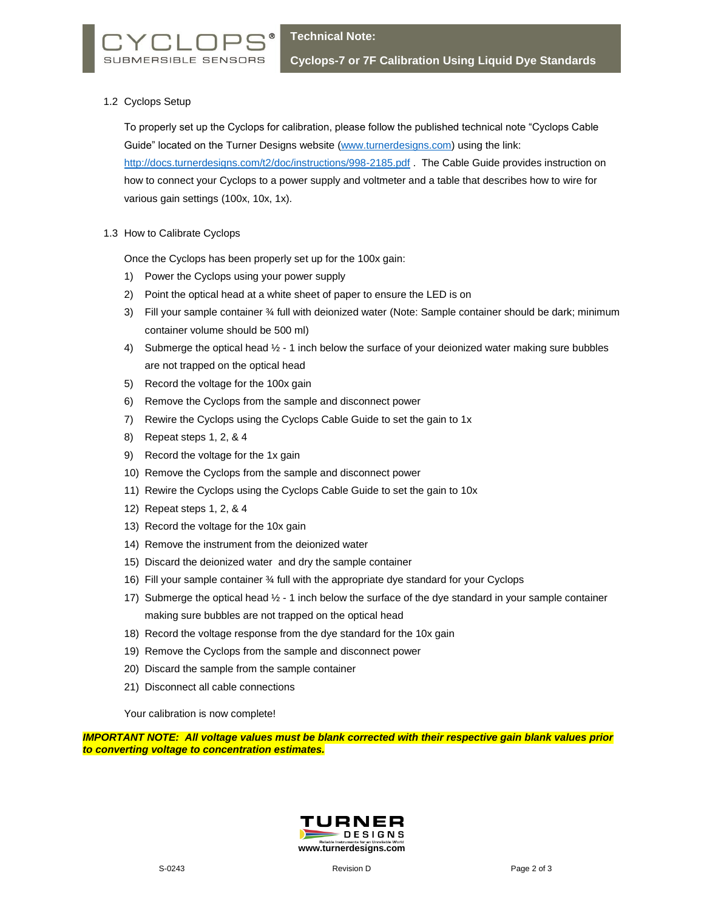## 1.2 Cyclops Setup

To properly set up the Cyclops for calibration, please follow the published technical note "Cyclops Cable Guide" located on the Turner Designs website [\(www.turnerdesigns.com\)](http://www.turnerdesigns.com/) using the link: http://docs.turnerdesigns.com/t2/doc/instructions/998-2185.pdf . The Cable Guide provides instruction on how to connect your Cyclops to a power supply and voltmeter and a table that describes how to wire for various gain settings (100x, 10x, 1x).

1.3 How to Calibrate Cyclops

Once the Cyclops has been properly set up for the 100x gain:

- 1) Power the Cyclops using your power supply
- 2) Point the optical head at a white sheet of paper to ensure the LED is on
- 3) Fill your sample container ¾ full with deionized water (Note: Sample container should be dark; minimum container volume should be 500 ml)
- 4) Submerge the optical head  $\frac{1}{2}$  1 inch below the surface of your deionized water making sure bubbles are not trapped on the optical head
- 5) Record the voltage for the 100x gain
- 6) Remove the Cyclops from the sample and disconnect power
- 7) Rewire the Cyclops using the Cyclops Cable Guide to set the gain to 1x
- 8) Repeat steps 1, 2, & 4
- 9) Record the voltage for the 1x gain
- 10) Remove the Cyclops from the sample and disconnect power
- 11) Rewire the Cyclops using the Cyclops Cable Guide to set the gain to 10x
- 12) Repeat steps 1, 2, & 4
- 13) Record the voltage for the 10x gain
- 14) Remove the instrument from the deionized water
- 15) Discard the deionized water and dry the sample container
- 16) Fill your sample container ¾ full with the appropriate dye standard for your Cyclops
- 17) Submerge the optical head ½ 1 inch below the surface of the dye standard in your sample container making sure bubbles are not trapped on the optical head
- 18) Record the voltage response from the dye standard for the 10x gain
- 19) Remove the Cyclops from the sample and disconnect power
- 20) Discard the sample from the sample container
- 21) Disconnect all cable connections

Your calibration is now complete!

*IMPORTANT NOTE: All voltage values must be blank corrected with their respective gain blank values prior to converting voltage to concentration estimates.*